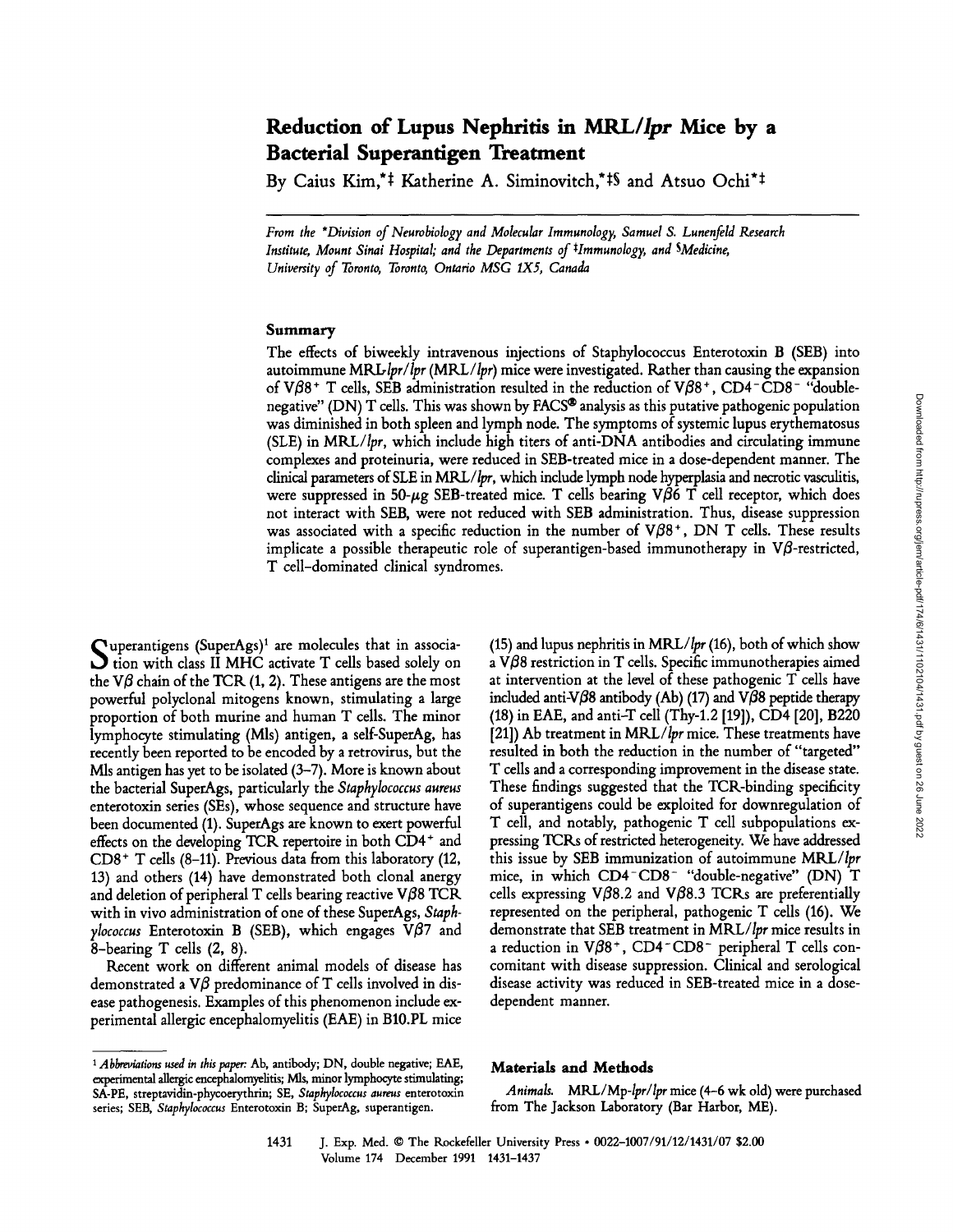# **Reduction of Lupus Nephritis in** *MRL/Ipr* **Mice by a Bacterial Superantigen Treatment**

By Caius Kim,<sup>\*‡</sup> Katherine A. Siminovitch,\*<sup>‡§</sup> and Atsuo Ochi<sup>\*‡</sup>

*From the \*Division of Neurobiology and Molecular Immunology, Samuel S. Lunenfeld Research Institute, Mount Sinai Hospital; and the Departments of \*Immunology, and SMedicine, University of Toronto, Toronto, Ontario MSG IX5, Canada* 

#### Summary

The effects of biweekly intravenous injections of Staphylococcus Enterotoxin B (SEB) into autoimmune *MRL, Ipr/lpr (MRL/Ipr)* mice were investigated. Rather than causing the expansion of V $\beta$ 8<sup>+</sup> T cells, SEB administration resulted in the reduction of V $\beta$ 8<sup>+</sup>, CD4<sup>-</sup>CD8<sup>-</sup> "doublenegative" (DN) T cells. This was shown by FACS<sup>®</sup> analysis as this putative pathogenic population was diminished in both spleen and lymph node. The symptoms of systemic lupus erythematosus (SLE) in *MRL/Ipr,* which include high titers of anti-DNA antibodies and circulating immune complexes and proteinuria, were reduced in SEB-treated mice in a dose-dependent manner. The clinical parameters of SLE in MRL/ $lpr$ , which include lymph node hyperplasia and necrotic vasculitis, were suppressed in 50- $\mu$ g SEB-treated mice. T cells bearing V $\beta$ 6 T cell receptor, which does not interact with SEB, were not reduced with SEB administration. Thus, disease suppression was associated with a specific reduction in the number of V $\beta$ 8<sup>+</sup>, DN T cells. These results implicate a possible therapeutic role of superantigen-based immunotherapy in  $V\beta$ -restricted, T cell-dominated clinical syndromes.

Superantigens (SuperAgs)<sup>1</sup> are molecules that in association with class II MHC activate T cells based solely on the V $\beta$  chain of the TCR (1, 2). These antigens are the most powerful polyclonal mitogens known, stimulating a large proportion of both murine and human T cells. The minor lymphocyte stimulating (Mls) antigen, a self-SuperAg, has recently been reported to be encoded by a retrovirus, but the Mls antigen has yet to be isolated (3-7). More is known about the bacterial Super\_Ags, particularly the *Staphylococcus aureus*  enterotoxin series (SEs), whose sequence and structure have been documented (1). SuperAgs are known to exert powerful effects on the developing TCR repertoire in both  $CD4^+$  and CD8 + T cells (8-11). Previous data from this laboratory (12, 13) and others (14) have demonstrated both clonal anergy and deletion of peripheral T cells bearing reactive  $V/88$  TCR with in vivo administration of one of these SuperAgs, *Staphylococcus* Enterotoxin B (SEB), which engages  $V\beta$ 7 and 8-bearing T cells (2, 8).

Recent work on different animal models of disease has demonstrated a  $V\beta$  predominance of T cells involved in disease pathogenesis. Examples of this phenomenon include experimental allergic encephalomyelitis (EAE) in B10.PL mice (15) and lupus nephritis in *MRL/Ipr* (16), both of which show a  $V\beta8$  restriction in T cells. Specific immunotherapies aimed at intervention at the level of these pathogenic T cells have included anti-V $\beta$ 8 antibody (Ab) (17) and V $\beta$ 8 peptide therapy (18) in EAE, and anti-T cell (Thy-l.2 [19]), CD4 [20], B220 [21]) Ab treatment in *MRL/Ipr* mice. These treatments have resulted in both the reduction in the number of "targeted" T cells and a corresponding improvement in the disease state. These findings suggested that the TCR-binding specificity of superantigens could be exploited for downregulation of T cell, and notably, pathogenic T cell subpopulations expressing TCKs of restricted heterogeneity. We have **addressed**  this issue by SEB immunization of autoimmune *MRL/Ipr*  mice, in which CD4-CDS- "double-negative" (DN) T cells expressing V $\beta$ 8.2 and V $\beta$ 8.3 TCRs are preferentially represented on the peripheral, pathogenic T cells (16). We demonstrate that SEB treatment in *MRL/Ipr* mice results in a reduction in  $V/\beta 8^+$ , CD4-CD8- peripheral T cells concomitant with disease suppression. Clinical and serological disease activity was reduced in SEB-treated mice in a dosedependent manner.

## **Materials and Methods**

*Animals. MRL/Mp-Ipr/Ipr* mice (4-6 wk old) were purchased from The Jackson Laboratory (Bar Harbor, ME).

1431 J. Exp. Med. © The Rockefeller University Press • 0022-1007/91/12/1431/07 \$2.00 Volume 174 December 1991 1431-1437

<sup>&</sup>lt;sup>1</sup> Abbreviations used in this paper: Ab, antibody; DN, double negative; EAE, experimental allergic encephalomyelitis; Mls, minor lymphocyte stimulating; SA-PE, streptavidin-phycoerythrin; SE, *Staphylococcus aureus* enterotoxin series; SEB, *Staphylococcus* Enterotoxin B; SuperAg, superantigen.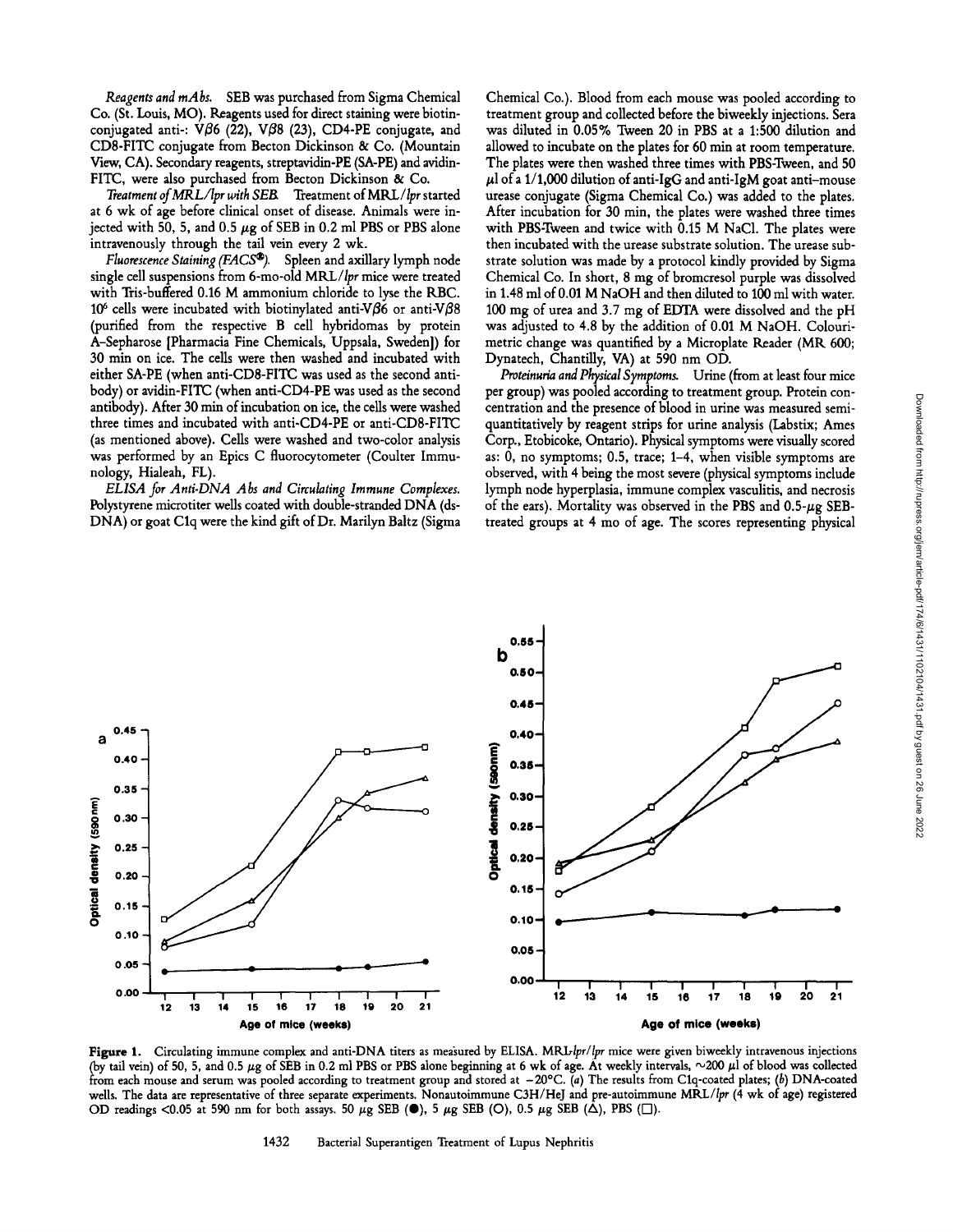*Reagents and mAbs.* SEB was purchased from Sigma Chemical Co. (St. Louis, MO). Reagents used for direct staining were biotinconjugated anti-:  $V\beta6$  (22), V $\beta8$  (23), CD4-PE conjugate, and CDS-FITC conjugate from Becton Dickinson & Co. (Mountain View, CA). Secondary reagents, streptavidin-PE (SA-PE) and avidin-FITC, were also purchased from Becton Dickinson & Co.

*Treatment of MRL/Ipr with SEB,* Treatment *of MRL / Ipr* started at 6 wk of age before clinical onset of disease. Animals were injected with 50, 5, and 0.5  $\mu$ g of SEB in 0.2 ml PBS or PBS alone intravenously through the tail vein every 2 wk.

*Fluorescence Staining (FACS®)*. Spleen and axillary lymph node single cell suspensions from 6-mo-old MRL/lpr mice were treated with Tris-buffered 0.16 M ammonium chloride to lyse the RBC. 10<sup>6</sup> cells were incubated with biotinylated anti-V $\beta$ 6 or anti-V $\beta$ 8 (purified from the respective B cell hybridomas by protein A-Sepharose [Pharmacia Fine Chemicals, Uppsala, Sweden]) for 30 min on ice. The cells were then washed and incubated with either SA-PE (when anti-CD8-FITC was used as the second antibody) or avidin-FITC (when anti-CD4-PE was used as the second antibody). After 30 min of incubation on ice, the cells were washed three times and incubated with anti-CD4-PE or anti-CD8-FITC (as mentioned above). Cells were washed and two-color analysis was performed by an Epics C fluorocytometer (Coulter Immunology, Hialeah, FL).

*ELISA for Anti-DNA Abs and Circulating Immune Complexes.*  Polystyrene microtiter wells coated with double-stranded DNA (ds-DNA) or goat Clq were the kind gift of Dr. Marilyn Baltz (Sigma

Chemical Co.). Blood from each mouse was pooled according to treatment group and collected before the biweekly injections. Sera was diluted in 0.05% Tween 20 in PBS at a 1:500 dilution and allowed to incubate on the plates for 60 min at room temperature. The plates were then washed three times with PBS-Tween, and 50  $\mu$ l of a 1/1,000 dilution of anti-IgG and anti-IgM goat anti-mouse urease conjugate (Sigma Chemical Co.) was added to the plates. After incubation for 30 min, the plates were washed three times with PBS-Tween and twice with 0.15 M NaC1. The plates were then incubated with the urease substrate solution. The urease substrate solution was made by a protocol kindly provided by Sigma Chemical Co. In short, 8 mg of bromcresol purple was dissolved in 1.48 ml of 0.01 M NaOH and then diluted to 100 mlwith water. 100 mg of urea and 3.7 mg of EDTA were dissolved and the pH was adjusted to 4.8 by the addition of 0.01 M NaOH. Colourimetric change was quantified by a Microplate Reader (MR, 600; Dynatech, Chantilly, VA) at 590 nm OD.

*Proteinuria and Physical Symptoms.* Urine (from at least four mice per group) was pooled according to treatment group. Protein concentration and the presence of blood in urine was measured semiquantitatively by reagent strips for urine analysis (Labstix; Ames Corp., Etobicoke, Ontario). Physical symptoms were visually scored as: 0, no symptoms; 0.5, trace; 1-4, when visible symptoms are observed, with 4 being the most severe (physical symptoms include lymph node hyperplasia, immune complex vasculitis, and necrosis of the ears). Mortality was observed in the PBS and  $0.5-\mu g$  SEBtreated groups at 4 mo of age. The scores representing physical



Figure 1. Circulating immune complex and anti-DNA titers as measured by ELISA. MRL-lpr/lpr mice were given biweekly intravenous injections (by tail vein) of 50, 5, and 0.5  $\mu$ g of SEB in 0.2 ml PBS or PBS alone beginning at 6 wk of age. At weekly intervals,  $\sim$ 200  $\mu$ l of blood was collected from each mouse and serum was pooled according to treatment group and stored at  $-20^{\circ}\text{C}$ . (a) The results from C1q-coated plates; (b) DNA-coated wells. The data are representative of three separate experiments. Nonautoimmune C3H/HeJ and pre-autoimmune *MRL/Ipr* (4 wk of age) registered OD readings <0.05 at 590 nm for both assays. 50  $\mu$ g SEB ( $\bullet$ ), 5  $\mu$ g SEB (O), 0.5  $\mu$ g SEB ( $\Delta$ ), PBS ( $\square$ ).

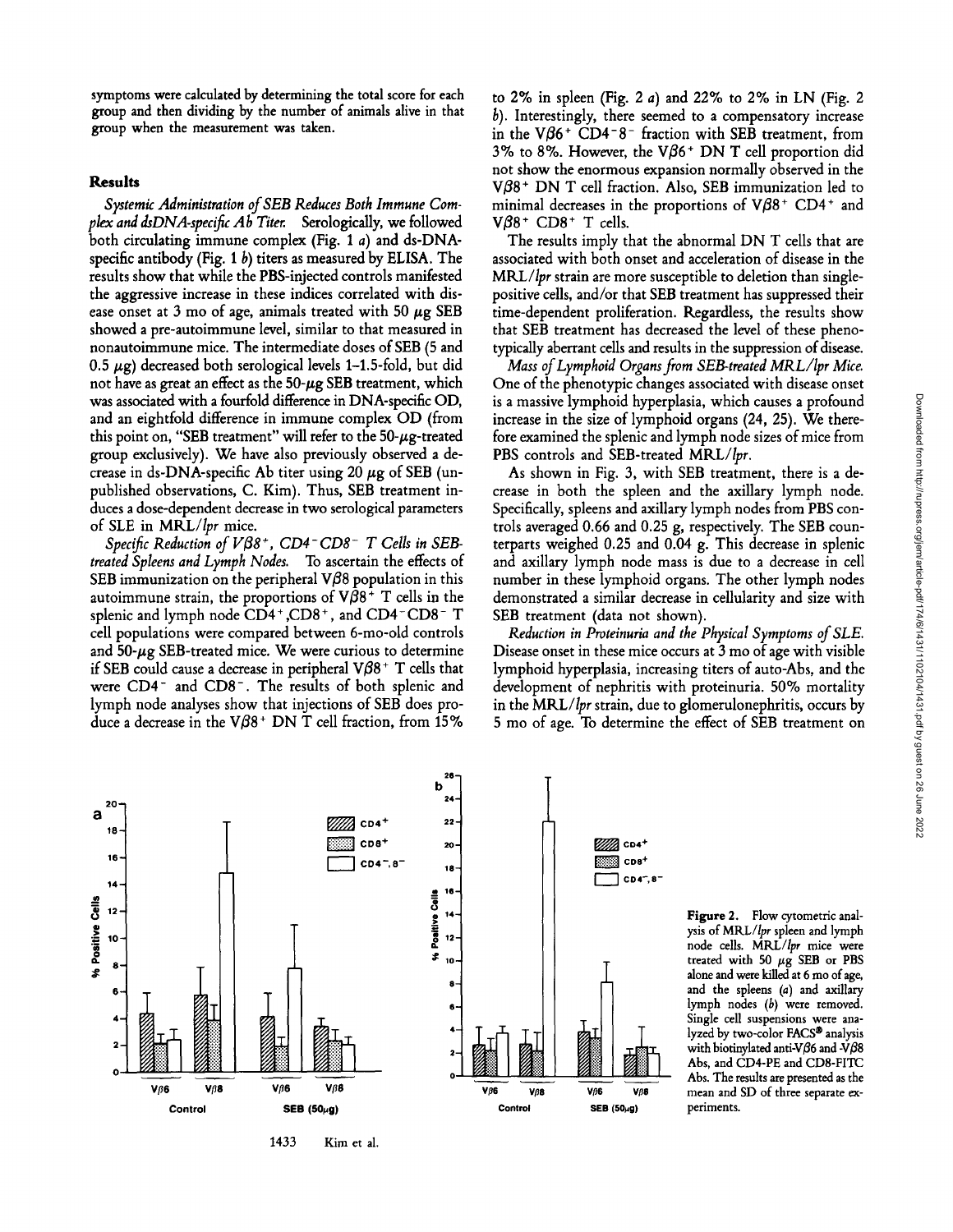symptoms were calculated by determining the total score for each group and then dividing by the number of animals alive in that group when the measurement was taken.

### **Results**

*Systemic Administration of SEB Reduces Both Immune Cornflex and dsDNA-specific Ab Titer.* Serologically, we followed both circulating immune complex (Fig. 1 a) and ds-DNAspecific antibody (Fig. 1  $b$ ) titers as measured by ELISA. The results show that while the PBS-injected controls manifested the aggressive increase in these indices correlated with disease onset at 3 mo of age, animals treated with 50  $\mu$ g SEB showed a pre-autoimmune level, similar to that measured in nonautoimmune mice. The intermediate doses of SEB (5 and 0.5  $\mu$ g) decreased both serological levels 1–1.5-fold, but did not have as great an effect as the  $50-\mu$ g SEB treatment, which was associated with a fourfold difference in DNA-specific OD, and an eightfold difference in immune complex OD (from this point on, "SEB treatment" will refer to the  $50-\mu$ g-treated group exclusively). We have also previously observed a decrease in ds-DNA-specific Ab titer using 20  $\mu$ g of SEB (unpublished observations, C. Kim). Thus, SEB treatment induces a dose-dependent decrease in two serological parameters of SLE in *MKL/Ipr* mice.

*Specific Reduction of V[38 +, CD4 - CD8- T Cells in SEBtreated Spleens and Lymph Nodes.* To ascertain the effects of SEB immunization on the peripheral  $\nabla\beta\delta$  population in this autoimmune strain, the proportions of  $V\beta8$ <sup>+</sup> T cells in the splenic and lymph node CD4+,CD8+, and CD4-CD8- T cell populations were compared between 6-mo-old controls and  $50-\mu g$  SEB-treated mice. We were curious to determine if SEB could cause a decrease in peripheral  $V\beta8$ <sup>+</sup> T cells that were CD4<sup>-</sup> and CD8<sup>-</sup>. The results of both splenic and lymph node analyses show that injections of SEB does produce a decrease in the  $V\beta8$ <sup>+</sup> DN T cell fraction, from 15%

to 2% in spleen (Fig. 2 a) and 22% to 2% in LN (Fig. 2)  $b$ ). Interestingly, there seemed to a compensatory increase in the V $\beta$ 6<sup>+</sup> CD4<sup>-8-</sup> fraction with SEB treatment, from 3% to 8%. However, the  $V\beta6$ <sup>+</sup> DN T cell proportion did not show the enormous expansion normally observed in the  $V\beta8$ <sup>+</sup> DN T cell fraction. Also, SEB immunization led to minimal decreases in the proportions of  $V\beta8$ <sup>+</sup> CD4<sup>+</sup> and V $\beta$ 8 + CD8 + T cells.

The results imply that the abnormal DN T cells that are associated with both onset and acceleration of disease in the *MRL/Ipr* strain are more susceptible to deletion than singlepositive cells, and/or that SEB treatment has suppressed their time-dependent proliferation. Regardless, the results show that SEB treatment has decreased the level of these phenotypically aberrant cells and results in the suppression of disease.

*Mass of Lymphoid Organs from SEB-treated MRL/Ipr Mice.*  One of the phenotypic changes associated with disease onset is a massive lymphoid hyperplasia, which causes a profound increase in the size of lymphoid organs (24, 25). We therefore examined the splenic and lymph node sizes of mice from PBS controls and SEB-treated *MRL/Ipr.* 

As shown in Fig. 3, with SEB treatment, there is a decrease in both the spleen and the axillary lymph node. Specifically, spleens and axillary lymph nodes from PBS controls averaged 0.66 and 0.25 g, respectively. The SEB counterparts weighed 0.25 and 0.04 g. This decrease in splenic and axillary lymph node mass is due to a decrease in cell number in these lymphoid organs. The other lymph nodes demonstrated a similar decrease in cellularity and size with SEB treatment (data not shown).

*Reduction in Proteinuria and the Physical Symptoms of SLE.*  Disease onset in these mice occurs at 3 mo of age with visible lymphoid hyperplasia, increasing titers of auto-Abs, and the development of nephritis with proteinuria. 50% mortality in the *MRL/Ipr* strain, due to glomerulonephritis, occurs by 5 mo of age. To determine the effect of SEB treatment on



1433 Kim et al.

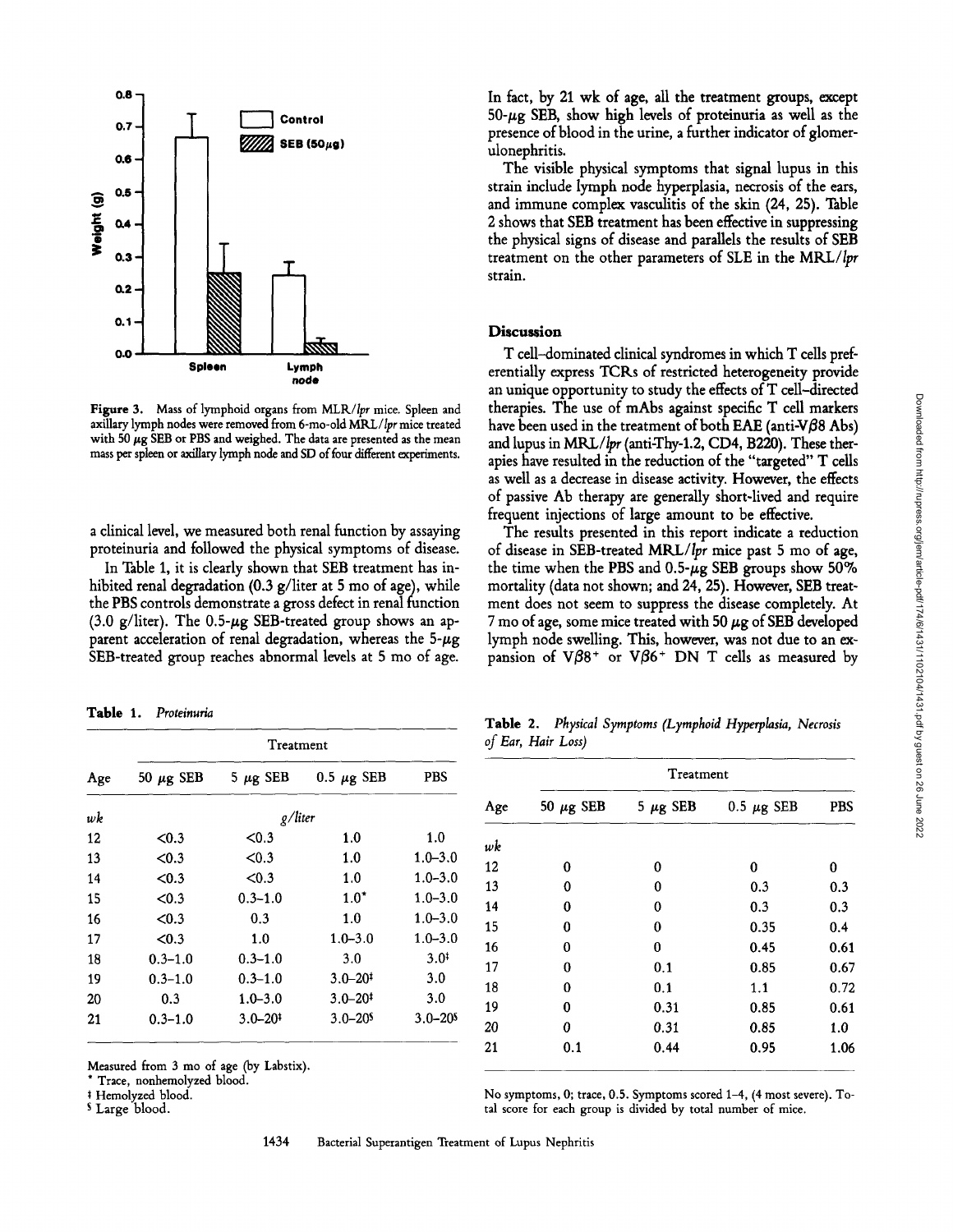

Figure 3. Mass of lymphoid organs from MLR/lpr mice. Spleen and axillary lymph nodes were removed from 6-mo-old MRL/lpr mice treated with 50  $\mu$ g SEB or PBS and weighed. The data are presented as the mean mass per spleen or axillary lymph node and SD of four different experiments.

a clinical level, we measured both renal function by assaying proteinuria and followed the physical symptoms of disease.

In Table 1, it is clearly shown that SEB treatment has inhibited renal degradation (0.3 g/liter at 5 mo of age), while the PBS controls demonstrate a gross defect in renal function (3.0 g/liter). The 0.5- $\mu$ g SEB-treated group shows an apparent acceleration of renal degradation, whereas the  $5-\mu g$ SEB-treated group reaches abnormal levels at 5 mo of age.

**Table** 1. *Proteinuria* 

| Age | Treatment      |                         |                         |                  |  |  |
|-----|----------------|-------------------------|-------------------------|------------------|--|--|
|     | 50 $\mu$ g SEB | 5 $\mu$ g SEB           | 0.5 $\mu$ g SEB         | <b>PBS</b>       |  |  |
| wk  | g/liter        |                         |                         |                  |  |  |
| 12  | < 0.3          | < 0.3                   | 1.0                     | 1.0              |  |  |
| 13  | <0.3           | < 0.3                   | 1.0                     | $1.0 - 3.0$      |  |  |
| 14  | < 0.3          | < 0.3                   | 1.0                     | $1.0 - 3.0$      |  |  |
| 15  | < 0.3          | $0.3 - 1.0$             | $1.0^*$                 | $1.0 - 3.0$      |  |  |
| 16  | <0.3           | 0.3                     | 1.0                     | $1.0 - 3.0$      |  |  |
| 17  | < 0.3          | 1.0                     | $1.0 - 3.0$             | $1.0 - 3.0$      |  |  |
| 18  | $0.3 - 1.0$    | $0.3 - 1.0$             | 3.0                     | 3.0 <sup>†</sup> |  |  |
| 19  | $0.3 - 1.0$    | $0.3 - 1.0$             | $3.0 - 20$ <sup>t</sup> | 3.0              |  |  |
| 20  | 0.3            | $1.0 - 3.0$             | $3.0 - 20$ <sup>‡</sup> | 3.0              |  |  |
| 21  | $0.3 - 1.0$    | $3.0 - 20$ <sup>‡</sup> | $3.0 - 20s$             | $3.0 - 20$       |  |  |

Measured from 3 mo of age (by Labstix).

\* Trace, nonhemolyzed blood.

Hemolyzed blood.

s Large blood.

In fact, by 21 wk of age, all the treatment groups, except  $50-\mu$ g SEB, show high levels of proteinuria as well as the presence of blood in the urine, a further indicator of glomerulonephritis.

The visible physical symptoms that signal lupus in this strain include lymph node hyperplasia, necrosis of the ears, and immune complex vasculitis of the skin (24, 25). Table 2 shows that SEB treatment has been effective in suppressing the physical signs of disease and parallels the results of SEB treatment on the other parameters of SLE in the *MRL/Ipr*  strain.

### **Discussion**

T cell-dominated clinical syndromes in which T cells preferentially express TCKs of restricted heterogeneity provide an unique opportunity to study the effects of T cell-directed therapies. The use of mAbs against specific T cell markers have been used in the treatment of both EAE (anti-V $\beta$ 8 Abs) and lupus in  $MRL/lpr$  (anti-Thy-1.2, CD4, B220). These therapies have resulted in the reduction of the "targeted" T cells as well as a decrease in disease activity. However, the effects of passive Ab therapy are generally short-lived and require frequent injections of large amount to be effective.

The results presented in this report indicate a reduction of disease in SEB-treated *MRL/Ipr* mice past 5 mo of age, the time when the PBS and 0.5- $\mu$ g SEB groups show 50% mortality (data not shown; and 24, 25). However, SEB treatment does not seem to suppress the disease completely. At 7 mo of age, some mice treated with 50  $\mu$ g of SEB developed lymph node swelling. This, however, was not due to an expansion of  $V\beta8^+$  or  $V\beta6^+$  DN T cells as measured by

**Table** 2. *Physical Symptoms (Lymphoid Hyperplasia, Necrosis of Ear, Hair Loss)* 

| Age | Treatment      |               |                 |            |  |
|-----|----------------|---------------|-----------------|------------|--|
|     | 50 $\mu$ g SEB | 5 $\mu$ g SEB | 0.5 $\mu$ g SEB | <b>PBS</b> |  |
| wk  |                |               |                 |            |  |
| 12  | 0              | 0             | 0               | 0          |  |
| 13  | 0              | 0             | 0.3             | 0.3        |  |
| 14  | 0              | 0             | 0.3             | 0.3        |  |
| 15  | 0              | 0             | 0.35            | 0.4        |  |
| 16  | 0              | 0             | 0.45            | 0.61       |  |
| 17  | 0              | 0.1           | 0.85            | 0.67       |  |
| 18  | 0              | 0.1           | 1.1             | 0.72       |  |
| 19  | 0              | 0.31          | 0.85            | 0.61       |  |
| 20  | 0              | 0.31          | 0.85            | 1.0        |  |
| 21  | $0.1\,$        | 0.44          | 0.95            | 1.06       |  |

No symptoms, 0; trace, 0.5. Symptoms scored 1-4, (4 most severe). Total score for each group is divided by total number of mice.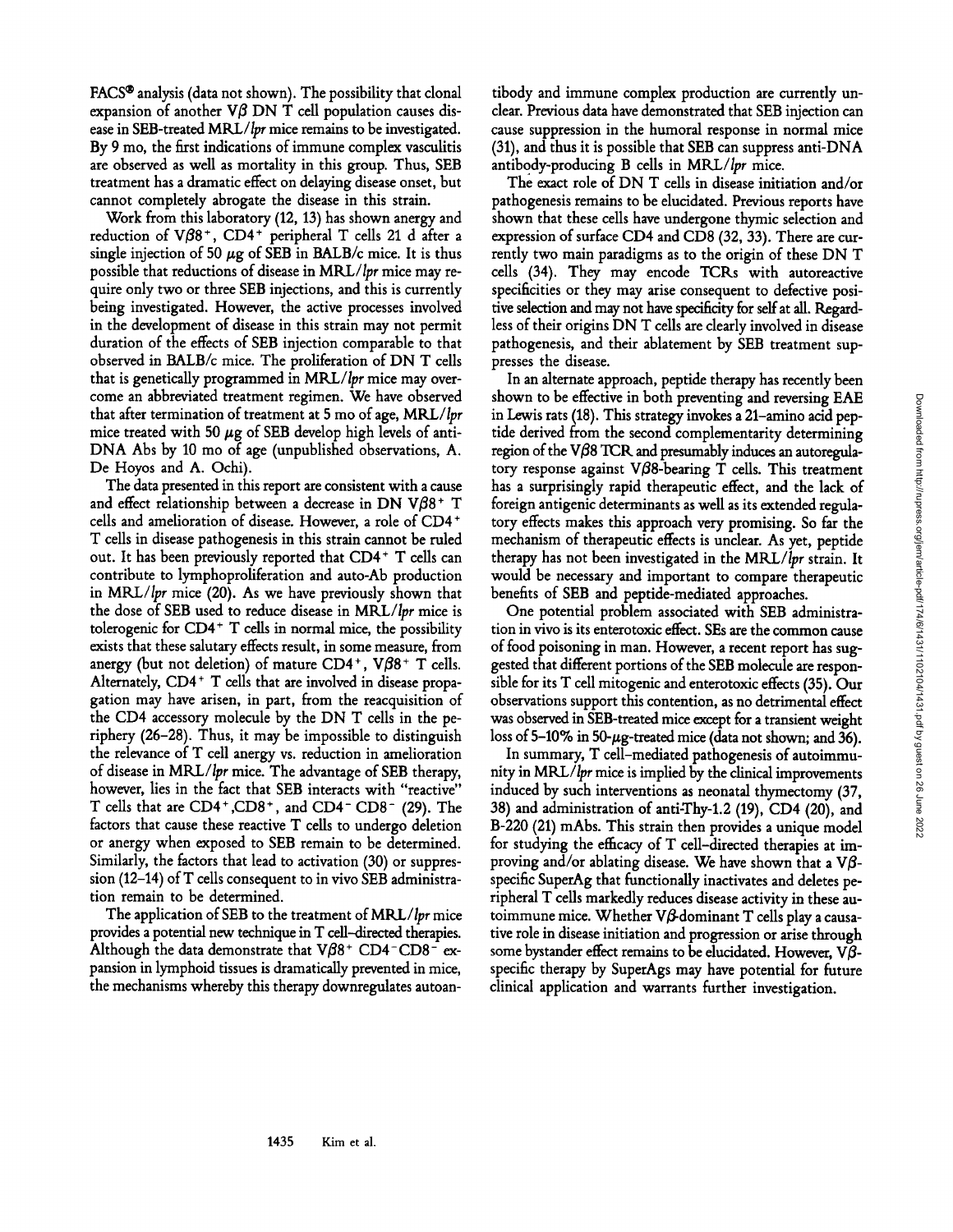FACS<sup>®</sup> analysis (data not shown). The possibility that clonal expansion of another  $V\beta$  DN T cell population causes disease in SEB-treated *MRL/Ipr* mice remains to be investigated. By 9 mo, the first indications of immune complex vasculitis are observed as well as mortality in this group. Thus, SEB treatment has a dramatic effect on delaying disease onset, but cannot completely abrogate the disease in this strain.

Work from this laboratory (12, 13) has shown anergy and reduction of  $V\beta8^+$ , CD4<sup>+</sup> peripheral T cells 21 d after a single injection of 50  $\mu$ g of SEB in BALB/c mice. It is thus possible that reductions of disease in *MRL/Ipr* mice may require only two or three SEB injections, and this is currently being investigated. However, the active processes involved in the development of disease in this strain may not permit duration of the effects of SEB injection comparable to that observed in *BALB/c* mice. The proliferation of DN T cells that is genetically programmed in *MRL/Ipr* mice may overcome an abbreviated treatment regimen. We have observed that after termination of treatment at 5 mo of age, *MRL/Ipr*  mice treated with 50  $\mu$ g of SEB develop high levels of anti-DNA Abs by 10 mo of age (unpublished observations, A. De Hoyos and A. Ochi).

The data presented in this report are consistent with a cause and effect relationship between a decrease in DN V $\beta$ 8<sup>+</sup> T cells and amelioration of disease. However, a role of CD4 + T cells in disease pathogenesis in this strain cannot be ruled out. It has been previously reported that CD4+ T cells can contribute to lymphoproliferation and auto-Ab production in *MRL/Ipr* mice (20). As we have previously shown that the dose of SEB used to reduce disease in *MRL/Ipr* mice is tolerogenic for  $CD4$ <sup>+</sup> T cells in normal mice, the possibility exists that these salutary effects result, in some measure, from anergy (but not deletion) of mature  $CD4^+$ ,  $V\beta 8^+$  T cells. Alternately,  $CD4+T$  cells that are involved in disease propagation may have arisen, in part, from the reacquisition of the CD4 accessory molecule by the DN T cells in the periphery (26-28). Thus, it may be impossible to distinguish the relevance of T cell anergy vs. reduction in amelioration of disease in *MRL/Ipr* mice. The advantage of SEB therapy, however, lies in the fact that SEB interacts with "reactive" T cells that are  $CD4^+$ ,  $CD8^+$ , and  $CD4^ CD8^-$  (29). The factors that cause these reactive T cells to undergo deletion or anergy when exposed to SEB remain to be determined. Similarly, the factors that lead to activation (30) or suppression (12-14) of T cells consequent to in vivo SEB administration remain to be determined.

The application of SEB to the treatment of *MRL/Ipr* mice provides a potential new technique in T cell--directed therapies. Although the data demonstrate that  $V\beta8$ <sup>+</sup> CD4<sup>-</sup>CD8<sup>-</sup> expansion in lymphoid tissues is dramatically prevented in mice, the mechanisms whereby this therapy downregulates autoan-

tibody and immune complex production are currently unclear. Previous data have demonstrated that SEB injection can cause suppression in the humoral response in normal mice (31), and thus it is possible that SEB can suppress anti-DNA antibody-producing B cells in *MRL/Ipr* mice.

The exact role of DN T cells in disease initiation and/or pathogenesis remains to be elucidated. Previous reports have shown that these cells have undergone thymic selection and expression of surface CD4 and CD8 (32, 33). There are currently two main paradigms as to the origin of these DN T cells (34). They may encode TCKs with autoreactive specificities or they may arise consequent to defective positive selection and may not have specificity for self at all. Regardless of their origins DN T cells are dearly involved in disease pathogenesis, and their ablatement by SEB treatment suppresses the disease.

In an alternate approach, peptide therapy has recently been shown to be effective in both preventing and reversing EAE in Lewis rats (18). This strategy invokes a 21-amino acid peptide derived from the second complementarity determining region of the V $\beta$ 8 TCR and presumably induces an autoregulatory response against V $\beta$ 8-bearing T cells. This treatment has a surprisingly rapid therapeutic effect, and the lack of foreign antigenic determinants as well as its extended regulatory effects makes this approach very promising. So far the mechanism of therapeutic effects is unclear. As yet, peptide therapy has not been investigated in the *MRL/Ipr* strain. It would be necessary and important to compare therapeutic benefits of SEB and peptide-mediated approaches.

One potential problem associated with SEB administration in vivo is its enterotoxic effect. SEs are the common cause of food poisoning in man. However, a recent report has suggested that different portions of the SEB molecule are responsible for its T cell mitogenic and enterotoxic effects (35). Our observations support this contention, as no detrimental effect was observed in SEB-treated mice except for a transient weight loss of 5-10% in 50- $\mu$ g-treated mice (data not shown; and 36).

In summary, T cell-mediated pathogenesis of autoimmunity in *MRL/Ipr* mice is implied by the clinical improvements induced by such interventions as neonatal thymectomy (37, 38) and administration of anti-Thy-l.2 (19), CD4 (20), and B-220 (21) mAbs. This strain then provides a unique model for studying the efficacy of T cell-directed therapies at improving and/or ablating disease. We have shown that a  $V\beta$ specific SuperAg that functionally inactivates and deletes peripheral T cells markedly reduces disease activity in these autoimmune mice. Whether  $V\beta$ -dominant T cells play a causative role in disease initiation and progression or arise through some bystander effect remains to be elucidated. However,  $V\beta$ specific therapy by SuperAgs may have potential for future clinical application and warrants further investigation.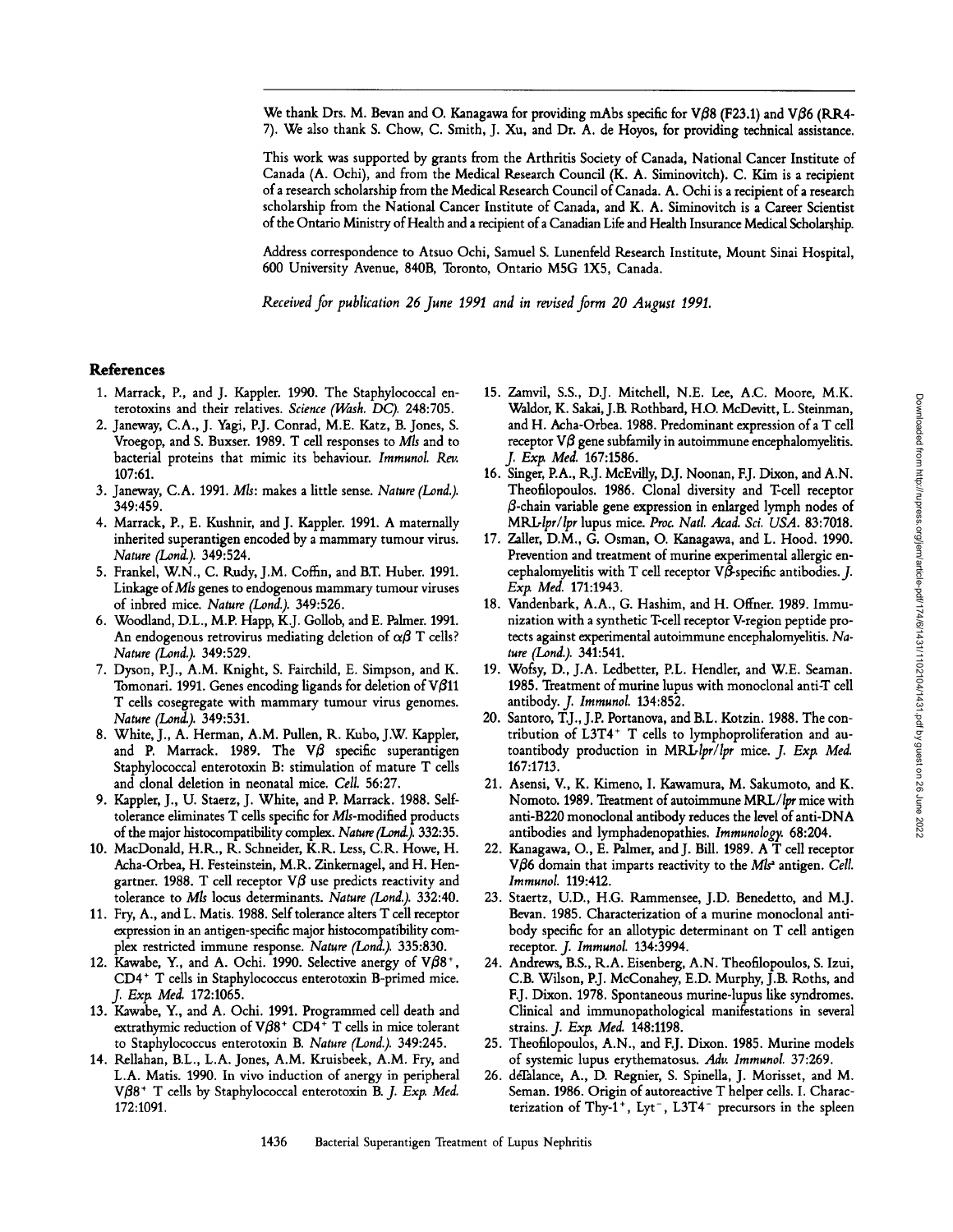We thank Drs. M. Bevan and O. Kanagawa for providing mAbs specific for V $\beta\beta$  (F23.1) and V $\beta\delta$  (RR4-7). We also thank S. Chow, C. Smith, J. Xu, and Dr. A. de Hoyos, for providing technical assistance.

This work was supported by grants from the Arthritis Society of Canada, National Cancer Institute of Canada (A. Ochi), and from the Medical Research Council (K. A. Siminovitch). C. Kim is a recipient of a research scholarship from the Medical Research Council of Canada. A. Ochi is a recipient of a research scholarship from the National Cancer Institute of Canada, and K. A. Siminovitch is a Career Scientist of the Ontario Ministry of Health and a recipient of a Canadian Life and Health Insurance Medical Scholarship.

Address correspondence to Atsuo Ochi, Samuel S. Lunenfeld Research Institute, Mount Sinai Hospital, 600 University Avenue, 840B, Toronto, Ontario MSG 1X5, Canada.

*Received for publication 26 June 1991 and in revised form 20 August 1991.* 

#### References

- 1. Marrack, P., and J. Kappler. 1990. The Staphylococcal enterotoxins and their relatives. *Science (Wash. DC).* 248:705.
- 2. Janeway, C.A., J. Yagi, P.J. Conrad, M.E. Katz, B. Jones, S. Vroegop, and S. Buxser. 1989. T cell responses to *Mls* and to bacterial proteins that mimic its behaviour. *Immunol. Rev.*  107:61.
- 3. Janeway, C.A. 1991. M/s: makes a little sense. *Nature (Lond.).*  349:459.
- 4. Marrack, P., E. Kushnir, and J. Kappler. 1991. A maternally inherited superantigen encoded by a mammary tumour virus. *Nature (Lond.).* 349:524.
- 5. Frankel, W.N., C. Rudy, J.M. Coffin, and B.T. Huber. 1991. Linkage of Mls genes to endogenous mammary tumour viruses of inbred mice. *Nature (Lond.).* 349:526.
- 6. Woodland, D.L., M.P. Happ, K.J. Gollob, and E. Palmer. 1991. An endogenous retrovirus mediating deletion of  $\alpha\beta$  T cells? *Nature (Lond.).* 349:529.
- 7. Dyson, P.J., A.M. Knight, S. Fairchild, E. Simpson, and K. Tomonari. 1991. Genes encoding ligands for deletion of  $V/\beta$ 11 T cells cosegregate with mammary tumour virus genomes. *Nature (Lond.).* 349:531.
- 8. White, J., A. Herman, A.M. Pullen, R. Kubo, J.W. Kappler, and P. Marrack. 1989. The  $\nabla\beta$  specific superantigen Staphylococcal enterotoxin B: stimulation of mature T cells and clonal deletion in neonatal mice. *Cell.* 56:27.
- 9. Kappler, J., U. Staerz, J. White, and P. Marrack. 1988. Selftolerance eliminates T cells specific for Mls-modified products of the major histocompatibility complex. Nature *(Lond.)*. 332:35.
- 10. MacDonald, H.R., R. Schneider, K.R. Less, C.R. Howe, H. Acha-Orbea, H. Festeinstein, M.R. Zinkernagel, and H. Hengartner. 1988. T cell receptor  $\nabla\beta$  use predicts reactivity and tolerance to M/s locus determinants. *Nature (Lond.).* 332:40.
- 11. Fry, A., and L. Matis. 1988. Self tolerance alters T cell receptor expression in an antigen-specific major histocompatibility complex restricted immune response. *Nature (Lond.).* 335:830.
- 12. Kawabe, Y., and A. Ochi. 1990. Selective anergy of  $V/68^+$ , CD4<sup>+</sup> T cells in Staphylococcus enterotoxin B-primed mice. *J. Extz Med.* 172:1065.
- 13. Kawabe, Y., and A. Ochi. 1991. Programmed cell death and extrathymic reduction of  $V\beta8^+$  CD4<sup>+</sup> T cells in mice tolerant to Staphylococcus enterotoxin B. *Nature (Lond.).* 349:245.
- 14. Rellahan, B.L., L.A. Jones, A.M. Kruisbeek, A.M. Fry, and L.A. Matis. 1990. In vivo induction of anergy in peripheral V $\beta$ 8<sup>+</sup> T cells by Staphylococcal enterotoxin B. J. Exp. Med. 172:1091.
- 15. Zamvil, S.S., DJ. Mitchell, N.E. Lee, A.C. Moore, M.K. Waldor, K. Sakai, J.B. Rothbard, H.O. McDevitt, L. Steinman, and H. Acha-Orbea. 1988. Predominant expression of a T cell receptor  $V\beta$  gene subfamily in autoimmune encephalomyelitis. *J. Exp. Med.* 167:1586.
- 16. Singer, P.A., R.J. McEvilly, D.J. Noonan, EJ. Dixon, and A.N. Theofilopoulos. 1986. Clonal diversity and T-cell receptor  $\beta$ -chain variable gene expression in enlarged lymph nodes of *MILUllor/lpr* lupus mice. *Proc. Natl. Acad. Sci. USA.* 83:7018.
- 17. Zaller, D.M., G. Osman, O. Kanagawa, and L. Hood. 1990. Prevention and treatment of murine experimental allergic encephalomyelitis with T cell receptor  $V\beta$ -specific antibodies. J. *Extx Med.* 171:1943.
- 18. Vandenbark, A.A., G. Hashim, and H. Offner. 1989. Immunization with a synthetic T-cell receptor V-region peptide protects against experimental autoimmune encephalomyelitis. *Nature (Lond.).* 341:541.
- 19. Wofsy, D., J.A. Ledbetter, P.L. Hendler, and W.E. Seaman. 1985. Treatment of murine lupus with monoclonal anti-T cell antibody, *j. Immunol.* 134:852.
- 20. Santoro, T.J., J.P. Portanova, and B.L. Kotzin. 1988. The contribution of L3T4<sup>+</sup> T cells to lymphoproliferation and autoantibody production in *MRL-lpr/lpr* mice. *J. Exp. Med.* 167:1713.
- 21. Asensi, V., K. Kimeno, I. Kawamura, M. Sakumoto, and K. Nomoto. 1989. Treatment of autoimmune MRL/lpr mice with anti-B220 monoclonal antibody reduces the level of anti-DNA antibodies and lymphadenopathies. *Immunology.* 68:204.
- 22. Kanagawa, O., E. Palmer, and J. Bill. 1989. A T cell receptor V $\beta$ 6 domain that imparts reactivity to the *Mls<sup>a</sup>* antigen. *Cell. Immunol.* 119:412.
- 23. Staertz, U.D., H.G. Rammensee, J.D. Benedetto, and M.J. Bevan. 1985. Characterization of a murine monoclonal antibody specific for an allotypic determinant on T cell antigen receptor. *J. Immunol.* 134:3994.
- 24. Andrews, B.S., R.A. Eisenberg, A.N. Theofilopoulos, S. Izui, C.B. Wilson, P.J. McConahey, E.D. Murphy, J.B. Roths, and EJ. Dixon. 1978. Spontaneous murine-lupus like syndromes. Clinical and immunopathological manifestations in several strains. *J. Exp. Med.* 148:1198.
- 25. Theofilopoulos, A.N., and F.J. Dixon. 1985. Murine models of systemic lupus erythematosus. *Adv. Immunol.* 37:269.
- 26. deTalance, A., D. Regnier, S. Spinella, J. Morisset, and M. Seman. 1986. Origin of autoreactive T helper cells. I. Characterization of Thy-1<sup>+</sup>, Lyt<sup>-</sup>, L3T4<sup>-</sup> precursors in the spleen